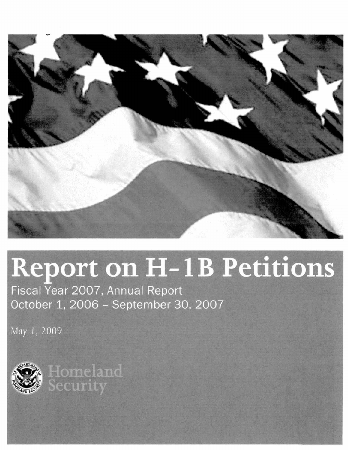

# Report on H-1B Petitions

Fiscal Year 2007, Annual Report October 1, 2006 - September 30, 2007

May 1, 2009



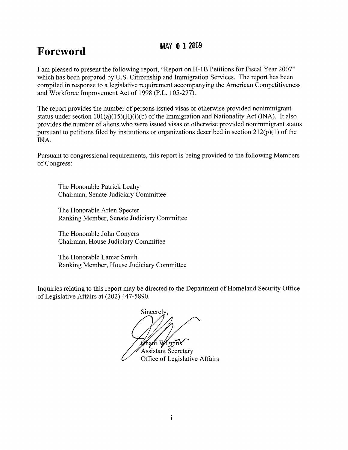## **Foreword MAY 0 12009**

I am pleased to present the following report, "Report on H-1B Petitions for Fiscal Year 2007" which has been prepared by U.S. Citizenship and Immigration Services. The report has been compiled in response to a legislative requirement accompanying the American Competitiveness and Workforce Improvement Act of 1998 (P.L. 105-277).

The report provides the number of persons issued visas or otherwise provided nonimmigrant status under section  $101(a)(15)(H)(i)$  of the Immigration and Nationality Act (INA). It also provides the number of aliens who were issued visas or otherwise provided nonimmigrant status pursuant to petitions filed by institutions or organizations described in section  $212(p)(1)$  of the INA.

Pursuant to congressional requirements, this report is being provided to the following Members of Congress:

The Honorable Patrick Leahy Chairman, Senate Judiciary Committee

The Honorable Arlen Specter Ranking Member, Senate Judiciary Committee

The Honorable John Conyers Chairman, House Judiciary Committee

The Honorable Lamar Smith Ranking Member, House Judiciary Committee

Inquiries relating to this report may be directed to the Department of Homeland Security Office of Legislative Affairs at (202) 447-5890.

Sincerely ghani Wiggins Assistant Secretary

Office of Legislative Affairs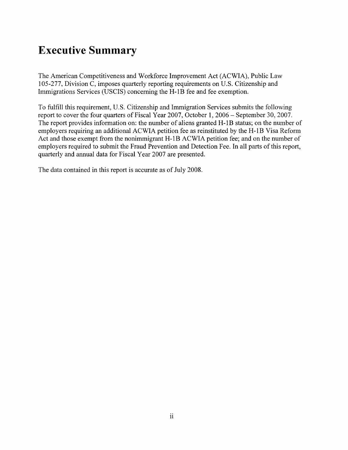## **Executive Summary**

The American Competitiveness and Workforce Improvement Act (ACWIA), Public Law 105-277, Division C, imposes quarterly reporting requirements on U.S. Citizenship and Immigrations Services (USCIS) concerning the H-IB fee and fee exemption.

To fulfill this requirement, U.S. Citizenship and Immigration Services submits the following report to cover the four quarters of Fiscal Year 2007, October 1,2006 - September 30, 2007. The report provides information on: the number of aliens granted H-1B status; on the number of employers requiring an additional ACWIA petition fee as reinstituted by the H-IB Visa Reform Act and those exempt from the nonimmigrant H-1B ACWIA petition fee; and on the number of employers required to submit the Fraud Prevention and Detection Fee. In all parts of this report, quarterly and annual data for Fiscal Year 2007 are presented.

The data contained in this report is accurate as of July 2008.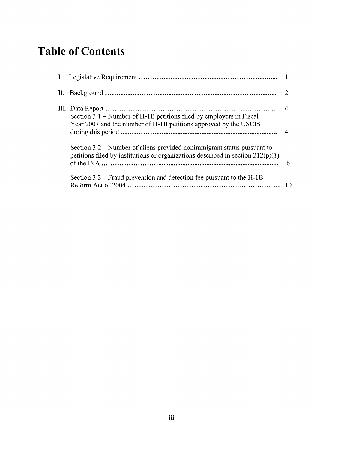## **Table of Contents**

| Section 3.1 – Number of H-1B petitions filed by employers in Fiscal                                                                                          |   |
|--------------------------------------------------------------------------------------------------------------------------------------------------------------|---|
| Year 2007 and the number of H-1B petitions approved by the USCIS                                                                                             |   |
| Section 3.2 – Number of aliens provided nonimmigrant status pursuant to<br>petitions filed by institutions or organizations described in section $212(p)(1)$ | 6 |
| Section $3.3$ – Fraud prevention and detection fee pursuant to the H-1B                                                                                      |   |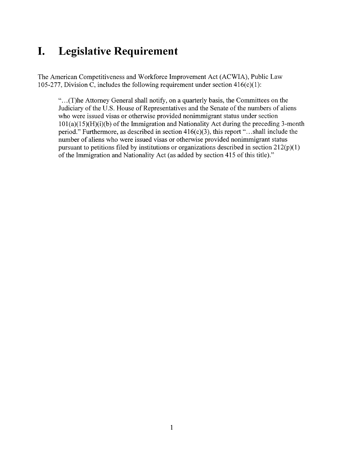## **I. Legislative Requirement**

The American Competitiveness and Workforce Improvement Act (ACWIA), Public Law 105-277, Division C, includes the following requirement under section 416(c)(1):

"... (T)he Attorney General shall notify, on a quarterly basis, the Committees on the Judiciary of the U.S. House of Representatives and the Senate of the numbers of aliens who were issued visas or otherwise provided nonimmigrant status under section 101(a)(15)(H)(i)(b) of the Immigration and Nationality Act during the preceding 3-month period." Furthermore, as described in section  $416(c)(3)$ , this report "...shall include the number of aliens who were issued visas or otherwise provided nonimmigrant status pursuant to petitions filed by institutions or organizations described in section  $212(p)(1)$ of the Immigration and Nationality Act (as added by section 415 of this title)."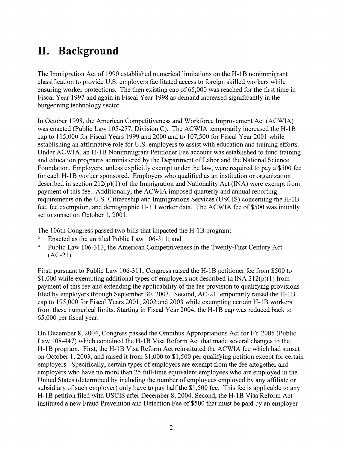## **II. Background**

The Immigration Act of 1990 established numerical limitations on the H-IB nonimmigrant classification to provide U.S. employers facilitated access to foreign skilled workers while ensuring worker protections. The then existing cap of 65,000 was reached for the first time in Fiscal Year 1997 and again in Fiscal Year 1998 as demand increased significantly in the burgeoning technology sector.

In October 1998, the American Competitiveness and Workforce Improvement Act (ACWIA) was enacted (Public Law 105-277, Division C). The ACWIA temporarily increased the H-IB cap to 115,000 for Fiscal Years 1999 and 2000 and to 107,500 for Fiscal Year 2001 while establishing an affirmative role for U.S. employers to assist with education and training efforts. Under ACWIA, an H-IB Nonimmigrant Petitioner Fee account was established to fund training and education programs administered by the Department of Labor and the National Science Foundation. Employers, unless explicitly exempt under the law, were required to pay a \$500 fee for each H-IB worker sponsored. Employers who qualified as an institution or organization described in section  $212(p)(1)$  of the Immigration and Nationality Act (INA) were exempt from payment of this fee. Additionally, the ACWIA imposed quarterly and annual reporting requirements on the U.S. Citizenship and Immigrations Services (USCIS) concerning the H-IB fee, fee exemption, and demographic H-IB worker data. The ACWIA fee of\$500 was initially set to sunset on October 1, 2001.

The 106th Congress passed two bills that impacted the H-IB program:

- Enacted as the untitled Public Law 106-311; and
- o Public Law 106-313, the American Competitiveness in the Twenty-First Century Act (AC-21).

First, pursuant to Public Law 106-311, Congress raised the H-1B petitioner fee from \$500 to  $$1,000$  while exempting additional types of employers not described in INA 212(p)(1) from payment of this fee and extending the applicability of the fee provision to qualifying provisions filed by employers through September 30,2003. Second, AC-21 temporarily raised the H-IB cap to 195,000 for Fiscal Years 2001, 2002 and 2003 while exempting certain H-IB workers from these numerical limits. Starting in Fiscal Year 2004, the H-IB cap was reduced back to 65,000 per fiscal year.

On December 8, 2004, Congress passed the Omnibus Appropriations Act for FY 2005 (Public Law 108-447) which contained the H-IB Visa Reform Act that made several changes to the H-IB program. First, the H-IB Visa Reform Act reinstituted the ACWIA fee which had sunset on October 1,2003, and raised it from \$1,000 to \$1,500 per qualifying petition except for certain employers. Specifically, certain types of employers are exempt from the fee altogether and employers who have no more than 25 full-time equivalent employees who are employed in the United States (determined by including the number of employees employed by any affiliate or subsidiary of such employer) only have to pay half the \$1,500 fee. This fee is applicable to any H-IB petition filed with USCIS after December 8, 2004. Second, the H-IB Visa Reform Act instituted a new Fraud Prevention and Detection Fee of \$500 that must be paid by an employer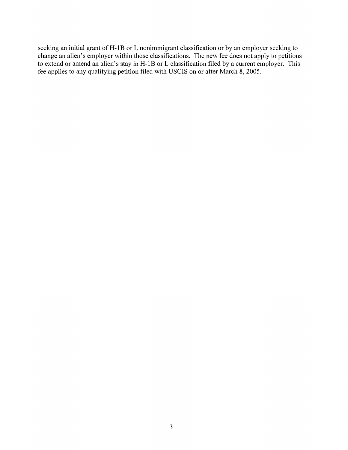seeking an initial grant of H-1B or L nonimmigrant classification or by an employer seeking to change an alien's employer within those classifications. The new fee does not apply to petitions to extend or amend an alien's stay in H-1B or L classification filed by a current employer. This fee applies to any qualifying petition filed with USCIS on or after March 8, 2005.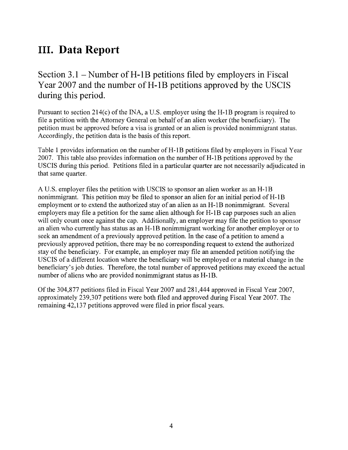## **III. Data Report**

Section  $3.1$  – Number of H-1B petitions filed by employers in Fiscal Year 2007 and the number of H-1B petitions approved by the USCIS during this period.

Pursuant to section  $214(c)$  of the INA, a U.S. employer using the H-1B program is required to file a petition with the Attorney General on behalf of an alien worker (the beneficiary). The petition must be approved before a visa is granted or an alien is provided nonimmigrant status. Accordingly, the petition data is the basis of this report.

Table 1 provides information on the number of H-1B petitions filed by employers in Fiscal Year 2007. This table also provides information on the number of H-1B petitions approved by the USCIS during this period. Petitions filed in a particular quarter are not necessarily adjudicated in that same quarter.

A U.S. employer files the petition with USCIS to sponsor an alien worker as an H-1B nonimmigrant. This petition may be filed to sponsor an alien for an initial period of H-1B employment or to extend the authorized stay of an alien as an H-1B nonimmigrant. Several employers may file a petition for the same alien although for H-1B cap purposes such an alien will only count once against the cap. Additionally, an employer may file the petition to sponsor an alien who currently has status as an H-1B nonimmigrant working for another employer or to seek an amendment of a previously approved petition. In the case of a petition to amend a previously approved petition, there may be no corresponding request to extend the authorized stay of the beneficiary. For example, an employer may file an amended petition notifying the USCIS of a different location where the beneficiary will be employed or a material change in the beneficiary's job duties. Therefore, the total number of approved petitions may exceed the actual number of aliens who are provided nonimmigrant status as H-1B.

Of the 304,877 petitions filed in Fiscal Year 2007 and 281,444 approved in Fiscal Year 2007, approximately 239,307 petitions were both filed and approved during Fiscal Year 2007. The remaining 42,137 petitions approved were filed in prior fiscal years.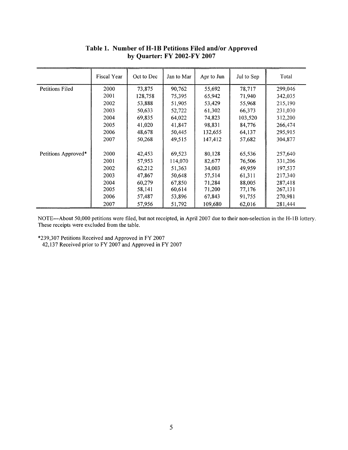|                     | Fiscal Year | Oct to Dec | Jan to Mar | Apr to Jun | Jul to Sep | Total   |
|---------------------|-------------|------------|------------|------------|------------|---------|
| Petitions Filed     | 2000        | 73,875     | 90,762     | 55,692     | 78,717     | 299,046 |
|                     | 2001        | 128,758    | 75,395     | 65,942     | 71,940     | 342,035 |
|                     | 2002        | 53,888     | 51,905     | 53,429     | 55,968     | 215,190 |
|                     | 2003        | 50,633     | 52,722     | 61,302     | 66,373     | 231,030 |
|                     | 2004        | 69,835     | 64,022     | 74,823     | 103,520    | 312,200 |
|                     | 2005        | 41,020     | 41,847     | 98,831     | 84,776     | 266,474 |
|                     | 2006        | 48,678     | 50,445     | 132,655    | 64,137     | 295,915 |
|                     | 2007        | 50,268     | 49,515     | 147,412    | 57,682     | 304,877 |
| Petitions Approved* | 2000        | 42,453     | 69,523     | 80,128     | 65,536     | 257,640 |
|                     | 2001        | 57,953     | 114,070    | 82,677     | 76,506     | 331,206 |
|                     | 2002        | 62,212     | 51,363     | 34,003     | 49,959     | 197,537 |
|                     | 2003        | 47,867     | 50,648     | 57,514     | 61,311     | 217,340 |
|                     | 2004        | 60,279     | 67,850     | 71,284     | 88,005     | 287,418 |
|                     | 2005        | 58,141     | 60,614     | 71,200     | 77,176     | 267,131 |
|                     | 2006        | 57,487     | 53,896     | 67,843     | 91,755     | 270,981 |
|                     | 2007        | 57,956     | 51,792     | 109,680    | 62,016     | 281,444 |

#### **Table 1. Number of H-IB Petitions Filed and/or Approved by Quarter: FY 2002-FY 2007**

NOTE---About 50,000 petitions were filed, but not receipted, in April 2007 due to their non-selection in the H-lB lottery. These receipts were excluded from the table.

\*239,307 Petitions Received and Approved in FY 2007

42,137 Received prior to FY 2007 and Approved in FY 2007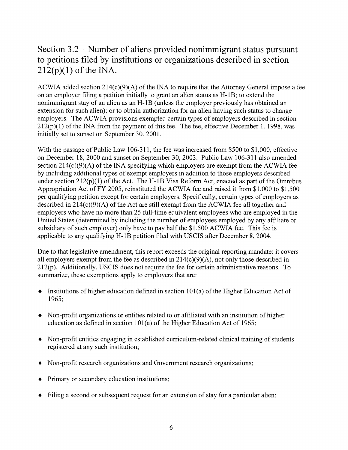### Section 3.2 - Number of aliens provided nonimmigrant status pursuant to petitions filed by institutions or organizations described in section  $212(p)(1)$  of the INA.

ACWIA added section  $214(c)(9)(A)$  of the INA to require that the Attorney General impose a fee on an employer filing a petition initially to grant an alien status as H-IB; to extend the nonimmigrant stay of an alien as an H-IB (unless the employer previously has obtained an extension for such alien); or to obtain authorization for an alien having such status to change employers. The ACWIA provisions exempted certain types of employers described in section  $212(p)(1)$  of the INA from the payment of this fee. The fee, effective December 1, 1998, was initially set to sunset on September 30, 2001.

With the passage of Public Law 106-311, the fee was increased from \$500 to \$1,000, effective on December 18,2000 and sunset on September 30, 2003. Public Law 106-311 also amended section  $214(c)(9)(A)$  of the INA specifying which employers are exempt from the ACWIA fee by including additional types of exempt employers in addition to those employers described under section  $212(p)(1)$  of the Act. The H-1B Visa Reform Act, enacted as part of the Omnibus Appropriation Act ofFY 2005, reinstituted the ACWIA fee and raised it from \$1,000 to \$1,500 per qualifying petition except for certain employers. Specifically, certain types of employers as described in  $214(c)(9)(A)$  of the Act are still exempt from the ACWIA fee all together and employers who have no more than 25 full-time equivalent employees who are employed in the United States (determined by including the number of employees employed by any affiliate or subsidiary of such employer) only have to pay half the \$1,500 ACWIA fee. This fee is applicable to any qualifying H-IB petition filed with USCIS after December 8, 2004.

Due to that legislative amendment, this report exceeds the original reporting mandate: it covers all employers exempt from the fee as described in  $214(c)(9)(A)$ , not only those described in  $212(p)$ . Additionally, USCIS does not require the fee for certain administrative reasons. To summarize, these exemptions apply to employers that are:

- $\bullet$  Institutions of higher education defined in section 101(a) of the Higher Education Act of 1965;
- Non-profit organizations or entities related to or affiliated with an institution of higher education as defined in section 101(a) of the Higher Education Act of 1965;
- Non-profit entities engaging in established curriculum-related clinical training of students registered at any such institution;
- Non-profit research organizations and Government research organizations;
- Primary or secondary education institutions;
- Filing a second or subsequent request for an extension of stay for a particular alien;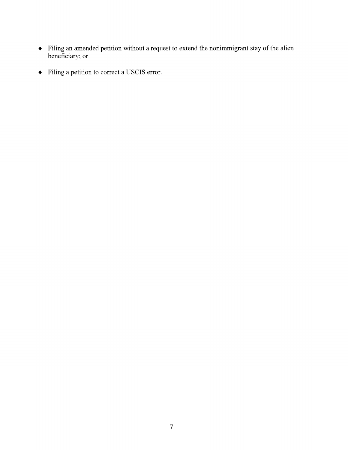- Filing an amended petition without a request to extend the nonimmigrant stay of the alien beneficiary; or
- Filing a petition to correct a USCIS error.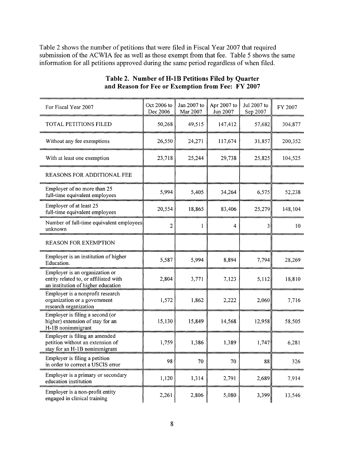Table 2 shows the number of petitions that were filed in Fiscal Year 2007 that required submission of the ACWIA fee as well as those exempt from that fee. Table 5 shows the same information for all petitions approved during the same period regardless of when filed.

| For Fiscal Year 2007                                                                                          | Oct 2006 to<br>Dec 2006 | Jan 2007 to<br>Mar 2007 | Apr 2007 to<br>Jun 2007 | Jul 2007 to<br>Sep 2007 | FY 2007 |
|---------------------------------------------------------------------------------------------------------------|-------------------------|-------------------------|-------------------------|-------------------------|---------|
| TOTAL PETITIONS FILED                                                                                         | 50,268                  | 49,515                  | 147,412                 | 57,682                  | 304,877 |
| Without any fee exemptions                                                                                    | 26,550                  | 24,271                  | 117,674                 | 31,857                  | 200,352 |
| With at least one exemption                                                                                   | 23,718                  | 25,244                  | 29,738                  | 25,825                  | 104,525 |
| REASONS FOR ADDITIONAL FEE                                                                                    |                         |                         |                         |                         |         |
| Employer of no more than 25<br>full-time equivalent employees                                                 | 5,994                   | 5,405                   | 34,264                  | 6,575                   | 52,238  |
| Employer of at least 25<br>full-time equivalent employees                                                     | 20,554                  | 18,865                  | 83,406                  | 25,279                  | 148,104 |
| Number of full-time equivalent employees<br>unknown                                                           | $\overline{2}$          | 1                       | 4                       | $\vert$ 3               | 10      |
| <b>REASON FOR EXEMPTION</b>                                                                                   |                         |                         |                         |                         |         |
| Employer is an institution of higher<br>Education.                                                            | 5,587                   | 5,994                   | 8,894                   | 7,794                   | 28,269  |
| Employer is an organization or<br>entity related to, or affiliated with<br>an institution of higher education | 2,804                   | 3,771                   | 7,123                   | 5,112                   | 18,810  |
| Employer is a nonprofit research<br>organization or a government<br>research organization                     | 1,572                   | 1,862                   | 2,222                   | 2,060                   | 7,716   |
| Employer is filing a second (or<br>higher) extension of stay for an<br>H-1B nonimmigrant                      | 15,130                  | 15,849                  | 14,568                  | 12,958                  | 58,505  |
| Employer is filing an amended<br>petition without an extension of<br>stay for an H-1B nonimmigrant            | 1,759                   | 1,386                   | 1,389                   | 1,747                   | 6,281   |
| Employer is filing a petition<br>in order to correct a USCIS error                                            | 98                      | 70                      | 70                      | 88                      | 326     |
| Employer is a primary or secondary<br>education institution                                                   | 1,120                   | 1,314                   | 2,791                   | 2,689                   | 7,914   |
| Employer is a non-profit entity<br>engaged in clinical training                                               | 2,261                   | 2,806                   | 5,080                   | 3,399                   | 13,546  |

#### Table 2. Number of H-1B Petitions Filed by Quarter **and Reason for Fee or Exemption from Fee: FY 2007**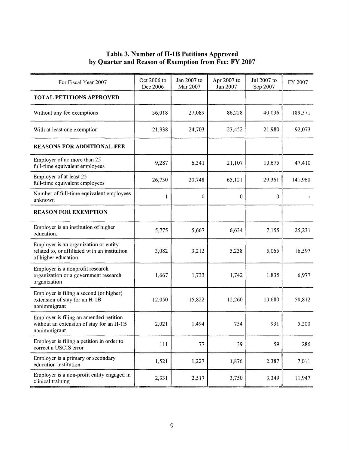#### **Table 3. Number ofH-lB Petitions Approved by Quarter and Reason of Exemption from Fee: FY 2007**

| For Fiscal Year 2007                                                                                          | Oct 2006 to<br>Dec 2006 | Jan 2007 to<br>Mar 2007 | Apr 2007 to<br>Jun 2007 | Jul 2007 to<br>Sep 2007 | FY 2007 |
|---------------------------------------------------------------------------------------------------------------|-------------------------|-------------------------|-------------------------|-------------------------|---------|
| <b>TOTAL PETITIONS APPROVED</b>                                                                               |                         |                         |                         |                         |         |
| Without any fee exemptions                                                                                    | 36,018                  | 27,089                  | 86,228                  | 40,036                  | 189,371 |
| With at least one exemption                                                                                   | 21,938                  | 24,703                  | 23,452                  | 21,980                  | 92,073  |
| <b>REASONS FOR ADDITIONAL FEE</b>                                                                             |                         |                         |                         |                         |         |
| Employer of no more than 25<br>full-time equivalent employees                                                 | 9,287                   | 6,341                   | 21,107                  | 10,675                  | 47,410  |
| Employer of at least 25<br>full-time equivalent employees                                                     | 26,730                  | 20,748                  | 65,121                  | 29,361                  | 141,960 |
| Number of full-time equivalent employees<br>unknown                                                           | 1                       | 0                       | $\bf{0}$                | $\bf{0}$                | 1       |
| <b>REASON FOR EXEMPTION</b>                                                                                   |                         |                         |                         |                         |         |
| Employer is an institution of higher<br>education.                                                            | 5,775                   | 5,667                   | 6,634                   | 7,155                   | 25,231  |
| Employer is an organization or entity<br>related to, or affiliated with an institution<br>of higher education | 3,082                   | 3,212                   | 5,238                   | 5,065                   | 16,597  |
| Employer is a nonprofit research<br>organization or a government research<br>organization                     | 1,667                   | 1,733                   | 1,742                   | 1,835                   | 6,977   |
| Employer is filing a second (or higher)<br>extension of stay for an H-1B<br>nonimmigrant                      | 12,050                  | 15,822                  | 12,260                  | 10,680                  | 50,812  |
| Employer is filing an amended petition<br>without an extension of stay for an H-1B<br>nonimmigrant            | 2,021                   | 1,494                   | 754                     | 931                     | 5,200   |
| Employer is filing a petition in order to<br>correct a USCIS error                                            | 111                     | 77                      | 39                      | 59                      | 286     |
| Employer is a primary or secondary<br>education institution                                                   | 1,521                   | 1,227                   | 1,876                   | 2,387                   | 7,011   |
| Employer is a non-profit entity engaged in<br>clinical training                                               | 2,331                   | 2,517                   | 3,750                   | 3,349                   | 11,947  |